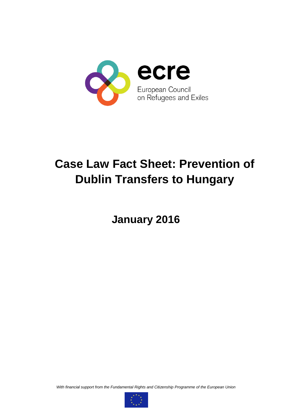

# **Case Law Fact Sheet: Prevention of Dublin Transfers to Hungary**

**January 2016**

*With financial support from the Fundamental Rights and Citizenship Programme of the European Union*

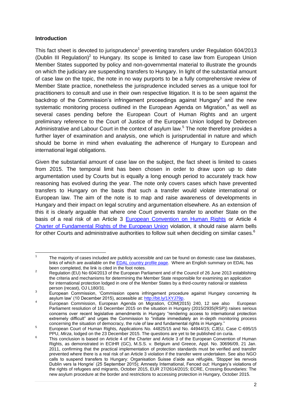#### **Introduction**

This fact sheet is devoted to jurisprudence<sup>1</sup> preventing transfers under Regulation 604/2013 (Dublin III Regulation)<sup>2</sup> to Hungary. Its scope is limited to case law from European Union Member States supported by policy and non-governmental material to illustrate the grounds on which the judiciary are suspending transfers to Hungary. In light of the substantial amount of case law on the topic, the note in no way purports to be a fully comprehensive review of Member State practice, nonetheless the jurisprudence included serves as a unique tool for practitioners to consult and use in their own respective litigation. It is to be seen against the backdrop of the Commission's infringement proceedings against Hungary<sup>3</sup> and the new systematic monitoring process outlined in the European Agenda on Migration,<sup>4</sup> as well as several cases pending before the European Court of Human Rights and an urgent preliminary reference to the Court of Justice of the European Union lodged by Debrecen Administrative and Labour Court in the context of asylum law.<sup>5</sup> The note therefore provides a further layer of examination and analysis, one which is jurisprudential in nature and which should be borne in mind when evaluating the adherence of Hungary to European and international legal obligations.

Given the substantial amount of case law on the subject, the fact sheet is limited to cases from 2015. The temporal limit has been chosen in order to draw upon up to date argumentation used by Courts but is equally a long enough period to accurately track how reasoning has evolved during the year. The note only covers cases which have prevented transfers to Hungary on the basis that such a transfer would violate international or European law. The aim of the note is to map and raise awareness of developments in Hungary and their impact on legal scrutiny and argumentation elsewhere. As an extension of this it is clearly arguable that where one Court prevents transfer to another State on the basis of a real risk of an Article 3 [European Convention on Human Rights](http://www.echr.coe.int/Documents/Convention_ENG.pdf) or Article 4 [Charter of Fundamental Rights of the European Union](http://eur-lex.europa.eu/legal-content/EN/TXT/?uri=CELEX:12012P/TXT) violation, it should raise alarm bells for other Courts and administrative authorities to follow suit when deciding on similar cases.<sup>6</sup>

<sup>|&</sup>lt;br>1 The majority of cases included are publicly accessible and can be found on domestic case law databases, links of which are available on the [EDAL country profile](http://www.asylumlawdatabase.eu/en/resources-list?f%5b0%5d=field_rescat%3A652) page. Where an English summary on EDAL has been completed, the link is cited in the foot notes.

<sup>&</sup>lt;sup>2</sup> Been completed, the firm is cited in the foot notes.<br>Regulation (EU) No 604/2013 of the European Parliament and of the Council of 26 June 2013 establishing the criteria and mechanisms for determining the Member State responsible for examining an application for international protection lodged in one of the Member States by a third-country national or stateless person (recast), OJ L180/31.

<sup>3</sup> European Commission, 'Commission opens infringement procedure against Hungary concerning its asylum law' (10 December 2015), accessible at: [http://bit.ly/1XYJ79p.](http://bit.ly/1XYJ79p) 4

European Commission, European Agenda on Migration, COM(2015) 240, 12 see also European Parliament resolution of 16 December 2015 on the situation in Hungary (2015/2935(RSP)) raises serious concerns over recent legislative amendments in Hungary "rendering access to international protection extremely difficult" and urges the Commission to "initiate immediately an in-depth monitoring process concerning the situation of democracy, the rule of law and fundamental rights in Hungary."

<sup>5</sup> European Court of Human Rights, Applications No. 44825/15 and No. 44944/15; CJEU, Case C-695/15 PPU, *Mirza*, lodged on the 23 December 2015. The questions are yet to be published on curia.

<sup>&</sup>lt;u>م</u> This conclusion is based on Article 4 of the Charter and Article 3 of the European Convention of Human Rights, as demonstrated in ECtHR (GC), M.S.S. v. Belgium and Greece, Appl. No. 30696/09, 21 Jan. 2011, confirming that the practical implementation of protection standards must be verified and transfer prevented where there is a real risk of an Article 3 violation if the transfer were undertaken. See also NGO calls to suspend transfers to Hungary: Organisation Suisse d'aide aux réfugiés, 'Stopper les renvois Dublin vers la Hongrie' (25 September 2015); Amnesty International, Fenced out: Hungary's violations of the rights of refugees and migrants, October 2015, EUR 27/2614/2015; ECRE, Crossing Boundaries: The new asylum procedure at the border and restrictions to accessing protection in Hungary, October 2015.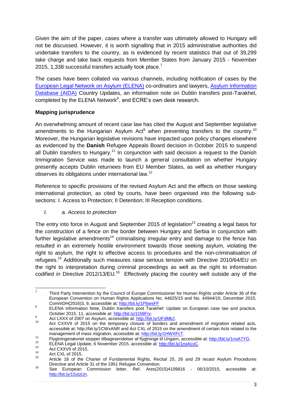Given the aim of the paper, cases where a transfer was ultimately allowed to Hungary will not be discussed. However, it is worth signalling that in 2015 administrative authorities did undertake transfers to the country, as is evidenced by recent statistics that out of 39,299 take charge and take back requests from Member States from January 2015 - November 2015, 1,338 successful transfers actually took place.<sup>7</sup>

The cases have been collated via various channels, including notification of cases by the [European Legal Network on Asylum \(ELENA\)](http://ecre.org/topics/elena/introduction.html) co-ordinators and lawyers, [Asylum Information](http://asylumineurope.org/)  [Database \(AIDA\)](http://asylumineurope.org/) Country Updates, an information note on Dublin transfers post-Tarakhel, completed by the ELENA Network $8$ , and ECRE's own desk research.

## **Mapping jurisprudence**

An overwhelming amount of recent case law has cited the August and September legislative amendments to the Hungarian Asylum  $Act^9$  when preventing transfers to the country.<sup>10</sup> Moreover, the Hungarian legislative revisions have impacted upon policy changes elsewhere as evidenced by the **Danish** Refugee Appeals Board decision in October 2015 to suspend all Dublin transfers to Hungary.<sup>11</sup> In conjunction with said decision a request to the Danish Immigration Service was made to launch a general consultation on whether Hungary presently accepts Dublin returnees from EU Member States, as well as whether Hungary observes its obligations under international law.<sup>12</sup>

Reference to specific provisions of the revised Asylum Act and the effects on those seeking international protection, as cited by courts, have been organised into the following subsections: I. Access to Protection; II Detention; III Reception conditions.

#### *I. a. Access to protection*

The entry into force in August and September 2015 of legislation<sup>13</sup> creating a legal basis for the construction of a fence on the border between Hungary and Serbia in conjunction with further legislative amendments<sup>14</sup> criminalising irregular entry and damage to the fence has resulted in an extremely hostile environment towards those seeking asylum, violating the right to asylum, the right to effective access to procedures and the non-criminalisation of refugees.<sup>15</sup> Additionally such measures raise serious tension with Directive 2010/64/EU on the right to interpretation during criminal proceedings as well as the right to information codified in Directive 2012/13/EU.<sup>16</sup> Effectively placing the country well outside any of the

<sup>—&</sup>lt;br>7 Third Party Intervention by the Council of Europe Commissioner for Human Rights under Article 36 of the European Convention on Human Rights Applications No. 44825/15 and No. 44944/15, December 2015, CommDH(2016)3, 9, accessible at:<http://bit.ly/1PbwsFF>

<sup>8</sup> ELENA Information Note, Dublin transfers post Tarakhel: Update on European case law and practice, October 2015, 11, accessible at: [http://bit.ly/1Oi9Frv.](http://bit.ly/1Oi9Frv)

<sup>9</sup> Act LXXX of 2007 on Asylum, accessible at: http://bit.ly/1IFdMk2.

<sup>10</sup> Act CXXVII of 2015 on the temporary closure of borders and amendment of migration related acts, accessible at: http://bit.ly/1CWxANR and Act CXL of 2015 on the amendment of certain Acts related to the management of mass migration, accessible at: [http://bit.ly/1HWXFcT.](http://bit.ly/1HWXFcT)

<sup>11</sup> Financial Flygtningenævnet stopper tilbagesendelser af flygtninge til Ungarn, accessible at[: http://bit.ly/1nxA7YG.](http://bit.ly/1nxA7YG)

<sup>&</sup>lt;sup>12</sup> ELENA Legal Update, 6 November 2015, accessible at:  $\frac{http://bit.ly/1nxAcvC}{http://bit.ly/1nxAcvC}$ .

 $13$  Act CXXVII of 2015.

 $14$  Act CXL of 2015.

Article 18 of the Charter of Fundamental Rights, Recital 25, 26 and 29 recast Asylum Procedures Directive and Article 31 of the 1951 Refugee Convention.

<sup>16</sup> See European Commission letter, Ref. Ares(2015)4109816 - 06/10/2015, accessible at: [http://bit.ly/1SxlzUn.](http://bit.ly/1SxlzUn)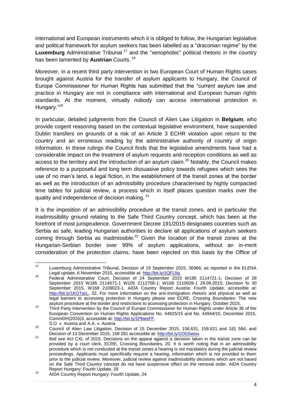international and European instruments which it is obliged to follow, the Hungarian legislative and political framework for asylum seekers has been labelled as a "draconian regime" by the **Luxemburg** Administrative Tribunal<sup>17</sup> and the "xenophobic" political rhetoric in the country has been lamented by **Austrian** Courts. <sup>18</sup>

Moreover, in a recent third party intervention in two European Court of Human Rights cases brought against Austria for the transfer of asylum applicants to Hungary, the Council of Europe Commissioner for Human Rights has submitted that the "current asylum law and practice in Hungary are not in compliance with international and European human rights standards. At the moment, virtually nobody can access international protection in Hungary."<sup>19</sup>

In particular, detailed judgments from the Council of Alien Law Litigation in **Belgium**, who provide cogent reasoning based on the contextual legislative environment, have suspended Dublin transfers on grounds of a risk of an Article 3 ECHR violation upon return to the country and an erroneous reading by the administrative authority of country of origin information. In these rulings the Council finds that the legislative amendments have had a considerable impact on the treatment of asylum requests and reception conditions as well as access to the territory and the introduction of an asylum claim.<sup>20</sup> Notably, the Council makes reference to a purposeful and long term dissuasive policy towards refugees which sees the use of no man's land, a legal fiction, in the establishment of the transit zones at the border as well as the introduction of an admissibility procedure characterised by highly compacted time tables for judicial review, a process which in itself places question marks over the quality and independence of decision making. <sup>21</sup>

It is the imposition of an admissibility procedure at the transit zones, and in particular the inadmissibility ground relating to the Safe Third Country concept, which has been at the forefront of most jurisprudence. Government Decree 191/2015 designates countries such as Serbia as safe, leading Hungarian authorities to declare all applications of asylum seekers coming through Serbia as inadmissible.<sup>22</sup> Given the location of the transit zones at the Hungarian-Serbian border over 99% of asylum applications, without an in-merit consideration of the protection claims, have been rejected on this basis by the Office of

 $17$ Luxemburg Administrative Tribunal, Decision of 19 September 2015, 36966, as reported in the ELENA Legal update, 6 November 2015, accessible at: [http://bit.ly/1QFLfig.](http://bit.ly/1QFLfig)

Eegal appeare, only entitled to 10, accessible at: http://bit.ly/1321-113.<br><sup>18</sup> Federal Administrative Court, Decision of 24 September 2015 W185 2114721-1; Decision of 28 September 2015 W185 2114671-1 W105 2112758-1; W168 2110928-1 29.09.2015; Decision fo 30 September 2015, W168 2109023-1. AIDA Country Report Austria: Fourth Update, accessible at: [http://bit.ly/1KGTarL,](http://bit.ly/1KGTarL) 32. For more information on the anti-immigration rhetoric and physical as well as legal barriers to accessing protection in Hungary please see ECRE, Crossing Boundaries: The new asylum procedure at the border and restrictions to accessing protection in Hungary, October 2015.

<sup>&</sup>lt;sup>19</sup> Third Party Intervention by the Council of Europe Commissioner for Human Rights under Article 36 of the European Convention on Human Rights Applications No. 44825/15 and No. 44944/15, December 2015, CommDH(2016)3, accessible at: [http://bit.ly/1PbwsFF.](http://bit.ly/1PbwsFF) 

S.O. v. Austria and A.A. v. Austria

<sup>&</sup>lt;sup>20</sup> Council of Alien Law Litigation, Decision of 15 December 2015, 158.631, 158.621 and 181 584, and Decision of 13 December 2015, 158 281 accessible at: [http://bit.ly/1OG5wxw.](http://bit.ly/1OG5wxw)

<sup>&</sup>lt;sup>21</sup> Ibid see Act CXL of 2015. Decisions on the appeal against a decision taken in the transit zone can be provided by a court clerk, ECRE, Crossing Boundaries, 20. It is worth noting that in an admissibility procedure which is not conducted at the transit zones a hearing is not mandatory during the judicial review proceedings. Applicants must specifically request a hearing, information which is not provided to them prior to the judicial review. Moreover, judicial review against inadmissibility decisions which are not based on the Safe Third Country concept do not have suspensive effect on the removal order. AIDA Country Report Hungary: Fourth Update, 29

<sup>&</sup>lt;sup>22</sup> AIDA Country Report Hungary: Fourth Update, 24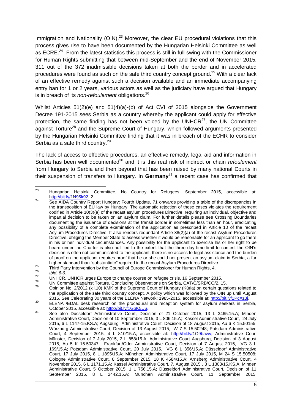Immigration and Nationality (OIN).<sup>23</sup> Moreover, the clear EU procedural violations that this process gives rise to have been documented by the Hungarian Helsinki Committee as well as ECRE. $^{24}$  From the latest statistics this process is still in full swing with the Commissioner for Human Rights submitting that between mid-September and the end of November 2015, 311 out of the 372 inadmissible decisions taken at both the border and in accelerated procedures were found as such on the safe third country concept ground.<sup>25</sup> With a clear lack of an effective remedy against such a decision available and an immediate accompanying entry ban for 1 or 2 years, various actors as well as the judiciary have argued that Hungary is in breach of its *non-refoulement* obligations.<sup>26</sup>

Whilst Articles 51(2)(e) and 51(4)(a)-(b) of Act CVI of 2015 alongside the Government Decree 191-2015 sees Serbia as a country whereby the applicant could apply for effective protection, the same finding has not been voiced by the UNHCR $^{27}$ , the UN Committee against Torture<sup>28</sup> and the Supreme Court of Hungary, which followed arguments presented by the Hungarian Helsinki Committee finding that it was in breach of the ECHR to consider Serbia as a safe third country.<sup>29</sup>

The lack of access to effective procedures, an effective remedy, legal aid and information in Serbia has been well documented<sup>30</sup> and it is this real risk of indirect or chain *refoulement* from Hungary to Serbia and then beyond that has been raised by many national Courts in their suspension of transfers to Hungary. In **Germany**<sup>31</sup> a recent case has confirmed that

 $23$ <sup>23</sup> Hungarian Helsinki Committee, No Country for Refugees, September 2015, accessible at: [http://bit.ly/1N95k92,](http://bit.ly/1N95k92) 2.

<sup>&</sup>lt;sup>24</sup> See AIDA Country Report Hungary: Fourth Update, 71 onwards providing a table of the discrepancies in the transposition of EU law by Hungary. The automatic rejection of these cases violates the requirement codified in Article 10(3)(a) of the recast asylum procedures Directive, requiring an individual, objective and impartial decision to be taken on an asylum claim. For further details please see Crossing Boundaries documenting the issuance of decisions at the transit border in sometimes less than an hour, eradicating any possibility of a complete examination of the application as prescribed in Article 10 of the recast Asylum Procedures Directive. It also renders redundant Article 38(2)(a) of the recast Asylum Procedures Directive, obliging the Member State to assess whether it would be reasonable for an applicant to go there in his or her individual circumstances. Any possibility for the applicant to exercise his or her right to be heard under the Charter is also nullified to the extent that the three day time limit to contest the OIN's decision is often not communicated to the applicant, there is no access to legal assistance and the burden of proof on the applicant requires proof that he or she could not present an asylum claim in Serbia, a far higher standard than "substantiate" required in the recast Asylum Procedures Directive.

<sup>&</sup>lt;sup>25</sup><br><sup>25</sup> Third Party Intervention by the Council of Europe Commissioner for Human Rights, 4.

<sup>26</sup> *Ibid, 8-9.*

<sup>&</sup>lt;sup>27</sup> UNHCR, UNHCR urges Europe to change course on refugee crisis, 16 September 2015.

<sup>&</sup>lt;sup>28</sup> UN Committee against Torture, Concluding Observations on Serbia, CAT/C/SRB/CO/2, 15.

<sup>29</sup> Opinion No. 2/2012 (xii.10) KMK of the Supreme Court of Hungary (Kúria) on certain questions related to the application of the safe third country concept. A policy which was followed by the OIN up until August 2015. See Celebrating 30 years of the ELENA Network: 1985-2015, accessible at[: http://bit.ly/1PcXz3i.](http://bit.ly/1PcXz3i)

<sup>&</sup>lt;sup>30</sup> ELENA /EDAL desk research on the procedural and reception system for asylum seekers in Serbia, October 2015, accessible at: [http://bit.ly/1GpK5U6.](http://bit.ly/1GpK5U6)

<sup>&</sup>lt;sup>31</sup> See also Dusseldorf Administrative Court, Decision of 21 October 2015, 13 L 3465.15.A; Minden Administrative Court, Decision of 10 September 2015, 3 L 806.15.A; Kassel Administrative Court, 24 July 2015, 6 L 1147-15.KS.A; Augsburg Administrative Court, Decision of 18 August 2015, Au 6 K 15.50155; Würzburg Administrative Court, Decision of 13 August 2015, W 7 S 15.50248; Potsdam Administrative Court, 4 September 2015, 4 L 810/15.A, accessible at: [http://bit.ly/1O9bawv;](http://bit.ly/1O9bawv) Administrative Court Münster, Decision of 7 July 2015, 2 L 858/15.A; Administrative Court Augsburg, Decision of 3 August 2015, Au 5 K 15.50347; Frankfurt/Oder Administrative Court, Decision of 7 August 2015, VG 3 L 169/15.A; Potsdam Administrative Court, 20 July 2015, VG 6 L 356/15.A; Düsseldorf Administrative Court, 17 July 2015, 8 L 1895/15.A; München Administrative Court, 17 July 2015, M 24 S 15.50508; Cologne Administrative Court, 8 September 2015, 18 K 4584/15.A; Arnsberg Administrative Court, 4 November 2015, 6 L 1171.15.A; Kassel Administrative Court, 7. August 2015 , 3 L 1303/15.KS.A; Minden Administrative Court, 5 October 2015, 1 L 756.15.A; Düsseldorf Administrative Court, Decision of 11 September 2015, 8 L 2442.15.A; München Administrative Court, 11 September 2015,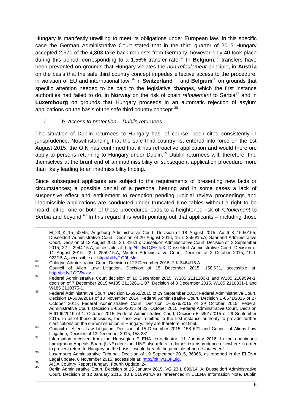Hungary is manifestly unwilling to meet its obligations under European law. In this specific case the German Administrative Court stated that in the third quarter of 2015 Hungary accepted 2,570 of the 4,303 take back requests from Germany, however only 40 took place during this period, corresponding to a 1.56% transfer rate.<sup>32</sup> In **Belgium**,<sup>33</sup> transfers have been prevented on grounds that Hungary violates the *non-refoulement* principle, in **Austria**  on the basis that the safe third country concept impedes effective access to the procedure, in violation of EU and international law, <sup>34</sup> in **Switzerland**<sup>35</sup> and **Belgium**<sup>36</sup> on grounds that specific attention needed to be paid to the legislative changes, which the first instance authorities had failed to do, in **Norway** on the risk of chain *refoulement* to Serbia<sup>37</sup> and in **Luxembourg** on grounds that Hungary proceeds in an automatic rejection of asylum applications on the basis of the safe third country concept.<sup>38</sup>

### *I. b. Access to protection – Dublin returnees*

The situation of Dublin returnees to Hungary has, of course, been cited consistently in jurisprudence. Notwithstanding that the safe third country list entered into force on the 1st August 2015, the OIN has confirmed that it has retroactive application and would therefore apply to persons returning to Hungary under Dublin.<sup>39</sup> Dublin returnees will, therefore, find themselves at the brunt end of an inadmissibility or subsequent application procedure more than likely leading to an inadmissibility finding.

Since subsequent applicants are subject to the requirements of presenting new facts or circumstances; a possible denial of a personal hearing and in some cases a lack of suspensive effect and entitlement to reception pending judicial review proceedings and inadmissible applications are conducted under truncated time tables without a right to be heard, either one or both of these procedures leads to a heightened risk of *refoulement* to Serbia and beyond.<sup>40</sup> In this regard it is worth pointing out that applicants – including those

**.** 

M 23 K 15 50045; Augsburg Administrative Court, Decision of 18 August 2015, Au 6 K 15.50155; Düsseldorf Administrative Court, Decision of 20 August 2015, 15 L 2556/15.A; Saarland Administrative Court, Decision of 12 August 2015, 3 L 816.15; Düsseldorf Administrative Court, Decision of 3 September 2015, 22 L 2944.15.A, accessible at: [http://bit.ly/1QHkJoX;](http://bit.ly/1QHkJoX) Düsseldorf Administrative Court, Decision of 11 August 2015, 22 L 2559.15.A; Minden Administrative Court, Decision of 2 October 2015, 19 L 923/15.A, accessible at: [http://bit.ly/1O9biMc;](http://bit.ly/1O9biMc)

 $\frac{32}{2}$  Cologne Administrative Court, Decision of 22 December 2015, 2 K 3464/15.A.

<sup>33</sup> Council of Alien Law Litigation, Decision of 15 December 2015, 158.631, accessible at: [http://bit.ly/1OG5wxw.](http://bit.ly/1OG5wxw)

<sup>&</sup>lt;sup>34</sup> Federal Administrative Court decision of 10 December 2015, W185 2111200-1 and W185 2109594-1, decision of 7 December 2015 W185 2113261-1 07, Decision of 3 December 2015, W185 2116831-1 and W185 2110375-1.

<sup>35</sup> Federal Administrative Court, Decision E-5961/2015 of 29 September 2015; Federal Administrative Court, Decision D-6089/2014 of 10 November 2014; Federal Administrative Court, Decision E-6571/2015 of 27 October 2015, Federal Administrative Court, Decision D-6576/2015 of 29 October 2015, Federal Administrative Court, Decision E-6626/2015 of 22. October 2015, Federal Administrative Court, Decision E-6106/2015 of 1. October 2015, Federal Administrative Court, Decision E-5961/2015 of 29 September 2015. In all of these decisions, the case was remitted to the first instance authority to provide further clarifications on the current situation in Hungary, they are therefore not final.

<sup>36</sup> Council of Aliens Law Litigation, Decision of 15 December 2015, 158 621 and Council of Aliens Law Litigation, Decision of 13 December 2015, 158 281.

<sup>37</sup> Information received from the Norwegian ELENA co-ordinator, 11 January 2016. In the unanimous Immigration Appeals Board (UNE) decision, UNE also refers to domestic jurisprudence elsewhere in order to prevent return to Hungary on the basis it would breach the principle of *non-refoulement.*

<sup>38</sup> Luxemburg Administrative Tribunal, Decision of 19 September 2015, 36966, as reported in the ELENA Legal update, 6 November 2015, accessible at: [http://bit.ly/1QFLfig.](http://bit.ly/1QFLfig)

<sup>39</sup> AIDA Country Report Hungary: Fourth Update, 24.

Berlin Administrative Court, Decision of 15 January 2015, VG 23 L 899/14. A; Düsseldorf Administrative Court, Decision of 12 January 2015, 13 L 3109/14.A as referenced in ELENA Information Note, Dublin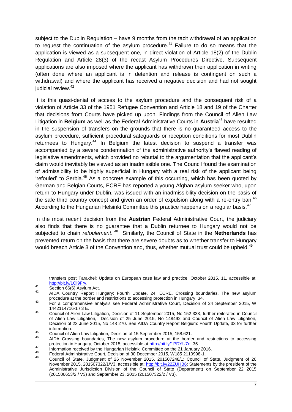subject to the Dublin Regulation – have 9 months from the tacit withdrawal of an application to request the continuation of the asylum procedure.<sup>41</sup> Failure to do so means that the application is viewed as a subsequent one, in direct violation of Article 18(2) of the Dublin Regulation and Article 28(3) of the recast Asylum Procedures Directive. Subsequent applications are also imposed where the applicant has withdrawn their application in writing (often done where an applicant is in detention and release is contingent on such a withdrawal) and where the applicant has received a negative decision and had not sought judicial review.<sup>42</sup>

It is this quasi-denial of access to the asylum procedure and the consequent risk of a violation of Article 33 of the 1951 Refugee Convention and Article 18 and 19 of the Charter that decisions from Courts have picked up upon. Findings from the Council of Alien Law Litigation in **Belgium** as well as the Federal Administrative Courts in **Austria**<sup>43</sup> have resulted in the suspension of transfers on the grounds that there is no guaranteed access to the asylum procedure, sufficient procedural safeguards or reception conditions for most Dublin returnees to Hungary.<sup>44</sup> In Belgium the latest decision to suspend a transfer was accompanied by a severe condemnation of the administrative authority's flawed reading of legislative amendments, which provided no rebuttal to the argumentation that the applicant's claim would inevitably be viewed as an inadmissible one. The Council found the examination of admissibility to be highly superficial in Hungary with a real risk of the applicant being 'refouled' to Serbia.<sup>45</sup> As a concrete example of this occurring, which has been quoted by German and Belgian Courts, ECRE has reported a young Afghan asylum seeker who, upon return to Hungary under Dublin, was issued with an inadmissibility decision on the basis of the safe third country concept and given an order of expulsion along with a re-entry ban.<sup>46</sup> According to the Hungarian Helsinki Committee this practice happens on a regular basis.<sup>47</sup>

In the most recent decision from the **Austrian** Federal Administrative Court, the judiciary also finds that there is no guarantee that a Dublin returnee to Hungary would not be subjected to chain *refoulement*. 48 Similarly, the Council of State in the **Netherlands** has prevented return on the basis that there are severe doubts as to whether transfer to Hungary would breach Article 3 of the Convention and, thus, whether mutual trust could be upheld.<sup>49</sup>

 $\frac{41}{2}$  Section 66(6) Asylum Act.

1

transfers post Tarakhel: Update on European case law and practice, October 2015, 11, accessible at: [http://bit.ly/1Oi9Frv.](http://bit.ly/1Oi9Frv)

<sup>42</sup> AIDA Country Report Hungary: Fourth Update, 24. ECRE, Crossing boundaries, The new asylum procedure at the border and restrictions to accessing protection in Hungary, 34.

<sup>43</sup> For a comprehensive analysis see Federal Administrative Court, Decision of 24 September 2015, W 1442114716-1 / 3 E.

<sup>44</sup> Council of Alien Law Litigation, Decision of 11 September 2015, No 152 333, further reiterated in Council of Alien Law Litigation, Decision of 25 June 2015, No 148492 and Council of Alien Law Litigation, Decision of 23 June 2015, No 148 270. See AIDA Country Report Belgium: Fourth Update, 33 for further information.

<sup>45</sup> Council of Alien Law Litigation, Decision of 15 September 2015, 158.621.

AIDA Crossing boundaries, The new asylum procedure at the border and restrictions to accessing protection in Hungary, October 2015, accessible at [http://bit.ly/1PDYU7e,](http://bit.ly/1PDYU7e) 35.

<sup>47</sup> Information received by the Hungarian Helsinki Committee on the 21 January 2016.

<sup>48</sup> Federal Administrative Court, Decision of 30 December 2015, W185 2110998-1.

<sup>49</sup> Council of State, Judgment of 26 November 2015, 201507248/1; Council of State, Judgment of 26 November 2015, 201507322/1/V3, accessible at: [http://bit.ly/22ZUHB6;](http://bit.ly/22ZUHB6) Statements by the president of the Administrative Jurisdiction Division of the Council of State (Department) on September 22 2015 (201506653/2 / V3) and September 23, 2015 (201507322/2 / V3).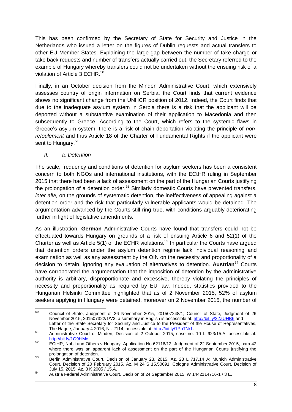This has been confirmed by the Secretary of State for Security and Justice in the Netherlands who issued a letter on the figures of Dublin requests and actual transfers to other EU Member States. Explaining the large gap between the number of take charge or take back requests and number of transfers actually carried out, the Secretary referred to the example of Hungary whereby transfers could not be undertaken without the ensuing risk of a violation of Article 3 ECHR.<sup>50</sup>

Finally, in an October decision from the Minden Administrative Court, which extensively assesses country of origin information on Serbia, the Court finds that current evidence shows no significant change from the UNHCR position of 2012. Indeed, the Court finds that due to the inadequate asylum system in Serbia there is a risk that the applicant will be deported without a substantive examination of their application to Macedonia and then subsequently to Greece. According to the Court, which refers to the systemic flaws in Greece's asylum system, there is a risk of chain deportation violating the principle of *nonrefoulement* and thus Article 18 of the Charter of Fundamental Rights if the applicant were sent to Hungary.<sup>51</sup>

## *II. a. Detention*

The scale, frequency and conditions of detention for asylum seekers has been a consistent concern to both NGOs and international institutions, with the ECtHR ruling in September 2015 that there had been a lack of assessment on the part of the Hungarian Courts justifying the prolongation of a detention order.<sup>52</sup> Similarly domestic Courts have prevented transfers, *inter alia,* on the grounds of systematic detention, the ineffectiveness of appealing against a detention order and the risk that particularly vulnerable applicants would be detained. The argumentation advanced by the Courts still ring true, with conditions arguably deteriorating further in light of legislative amendments.

As an illustration, **German** Administrative Courts have found that transfers could not be effectuated towards Hungary on grounds of a risk of ensuing Article 6 and 52(1) of the Charter as well as Article  $5(1)$  of the ECHR violations.<sup>53</sup> In particular the Courts have argued that detention orders under the asylum detention regime lack individual reasoning and examination as well as any assessment by the OIN on the necessity and proportionality of a decision to detain, ignoring any evaluation of alternatives to detention. **Austrian**<sup>54</sup> Courts have corroborated the argumentation that the imposition of detention by the administrative authority is arbitrary, disproportionate and excessive, thereby violating the principles of necessity and proportionality as required by EU law. Indeed, statistics provided to the Hungarian Helsinki Committee highlighted that as of 2 November 2015, 52% of asylum seekers applying in Hungary were detained, moreover on 2 November 2015, the number of

<sup>50</sup> <sup>50</sup> Council of State, Judgment of 26 November 2015, 201507248/1; Council of State, Judgment of 26 November 2015, 201507322/1/V3, a summary in English is accessible at:<http://bit.ly/22ZUHB6> and Letter of the State Secretary for Security and Justice to the President of the House of Representatives, The Hague, January 4 2016, Nr. 2114, accessible at[: http://bit.ly/1PbTNr1.](http://bit.ly/1PbTNr1)

<sup>51</sup> Administrative Court of Minden, Decision of 2 October 2015, case no. 10 L 923/15.A, accessible at: [http://bit.ly/1O9biMc.](http://bit.ly/1O9biMc)

<sup>&</sup>lt;sup>52</sup> ECtHR, Nabil and Others v Hungary, Application No 62116/12, Judgment of 22 September 2015, para 42 where there was an apparent lack of assessment on the part of the Hungarian Courts justifying the prolongation of detention.

<sup>53</sup> Berlin Administrative Court, Decision of January 23, 2015, Az. 23 L 717.14 A; Munich Administrative Court, Decision of 20 February 2015, Az. M 24 S 15.50091; Cologne Administrative Court, Decision of July 15, 2015, Az. 3 K 2005 / 15.A.

<sup>54</sup> Austria Federal Administrative Court, Decision of 24 September 2015, W 1442114716-1 / 3 E.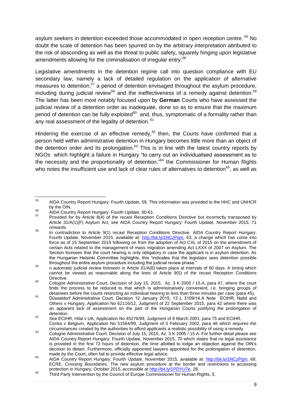asylum seekers in detention exceeded those accommodated in open reception centre. <sup>55</sup> No doubt the scale of detention has been spurred on by the arbitrary interpretation attributed to the risk of absconding as well as the threat to public safety, squarely hinging upon legislative amendments allowing for the criminalisation of irregular entry.<sup>56</sup>

Legislative amendments in the detention regime call into question compliance with EU secondary law, namely a lack of detailed regulation on the application of alternative measures to detention,<sup>57</sup> a period of detention envisaged throughout the asylum procedure, including during judicial review<sup>58</sup> and the ineffectiveness of a remedy against detention.<sup>59</sup> The latter has been most notably focused upon by **German** Courts who have assessed the judicial review of a detention order as inadequate, done so as to ensure that the maximum period of detention can be fully exploited<sup>60</sup> and, thus, symptomatic of a formality rather than any real assessment of the legality of detention.  $61$ 

Hindering the exercise of an effective remedy, $62$  then, the Courts have confirmed that a person held within administrative detention in Hungary becomes little more than an object of the detention order and its prolongation. $63$  This is in line with the latest country reports by NGOs which highlight a failure in Hungary "to carry out an individualised assessment as to the necessity and the proportionality of detention,"<sup>64</sup> the Commissioner for Human Rights who notes the insufficient use and lack of clear rules of alternatives to detention $^{65}$ , as well as

<sup>56</sup> AIDA Country Report Hungary: Fourth Update, 60-61.

<sup>55</sup> <sup>55</sup> AIDA Country Report Hungary: Fourth Update, 59. This information was provided to the HHC and UNHCR by the OIN.

 $57$  Provided for by Article 8(4) of the recast Reception Conditions Directive but incorrectly transposed by Article 31/A(1)(F) Asylum Act, see AIDA Country Report Hungary: Fourth Update, November 2015, 71 onwards.

<sup>&</sup>lt;sup>58</sup> In contradiction to Article 9(1) recast Reception Conditions Directive. AIDA Country Report Hungary: Fourth Update, November 2015, available at: [http://bit.ly/1NCzPqm,](http://bit.ly/1NCzPqm) 63, a change which has come into force as of 15 September 2015 following on from the adoption of Act CXL of 2015 on the amendment of certain Acts related to the management of mass migration amending Act LXXX of 2007 on Asylum. The Section foresees that the court hearing is only obligatory in case the applicant is in asylum detention. As the Hungarian Helsinki Committee highlights, this "indicates that the legislator sees detention possible throughout the entire asylum procedure including the judicial review phase."

<sup>59</sup> n automatic judicial review foreseen in Article 31/A(6) takes place at intervals of 60 days. A timing which cannot be viewed as reasonable along the lines of Article 9(5) of the recast Reception Conditions Directive.

 $\frac{60}{100}$  Cologne Administrative Court, Decision of July 15, 2015, Az. 3 K 2005 / 15.A, para 47, where the court finds the process to be reduced to that which is administratively convenient, i.e. bringing groups of detainees before the courts restricting an individual hearing to less than three minutes per case (para 45).

<sup>61</sup> Düsseldorf Administrative Court, Decision 12 January 2015, 13 L 3109/14.A Note   ECtHR, Nabil and Others v Hungary, Application No 62116/12, Judgment of 22 September 2015, para 42 where there was an apparent lack of assessment on the part of the Hungarian Courts justifying the prolongation of detention.

 $62$  See ECtHR, Hilal v UK, Application No 45276/99, Judgment of 6 March 2001, para 75 and ECtHR, Conka v Belgium, Application No 51564/99, Judgment of 5 February 2002, para 46 which requires the circumstances created by the authorities to afford applicants a realistic possibility of using a remedy.

<sup>63</sup> Cologne Administrative Court, Decision of July 15, 2015, Az. 3 K 2005 / 15.A. For further detail please see AIDA Country Report Hungary: Fourth Update, November 2015, 70 which states that no legal assistance is provided in the first 72 hours of detention, the time allotted to lodge an objection against the OIN's decision to detain. Furthermore, officially appointed lawyers appointed for the prolongation of detention, made by the Court, often fail to provide effective legal advice.

<sup>&</sup>lt;sup>64</sup> AIDA Country Report Hungary: Fourth Update, November 2015, available at: [http://bit.ly/1NCzPqm,](http://bit.ly/1NCzPqm) 68. ECRE, *Crossing Boundaries*, The new asylum procedure at the border and restrictions to accessing protection in Hungary, October 2015, accessible at [http://bit.ly/1PDYU7e,](http://bit.ly/1PDYU7e) 28.

<sup>&</sup>lt;sup>65</sup> Third Party Intervention by the Council of Europe Commissioner for Human Rights, 5.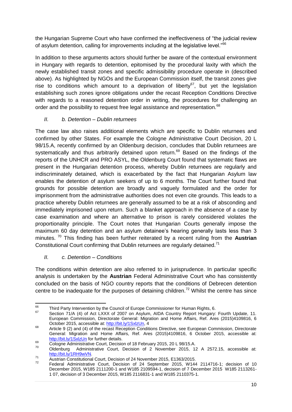the Hungarian Supreme Court who have confirmed the ineffectiveness of "the judicial review of asylum detention, calling for improvements including at the legislative level."<sup>66</sup>

In addition to these arguments actors should further be aware of the contextual environment in Hungary with regards to detention, epitomised by the procedural laxity with which the newly established transit zones and specific admissibility procedure operate in (described above). As highlighted by NGOs and the European Commission itself, the transit zones give rise to conditions which amount to a deprivation of liberty<sup>67</sup>, but yet the legislation establishing such zones ignore obligations under the recast Reception Conditions Directive with regards to a reasoned detention order in writing, the procedures for challenging an order and the possibility to request free legal assistance and representation.<sup>68</sup>

## *II. b. Detention – Dublin returnees*

The case law also raises additional elements which are specific to Dublin returnees and confirmed by other States. For example the Cologne Administrative Court Decision, 20 L 98/15.A, recently confirmed by an Oldenburg decision, concludes that Dublin returnees are systematically and thus arbitrarily detained upon return.<sup>69</sup> Based on the findings of the reports of the UNHCR and PRO ASYL, the Oldenburg Court found that systematic flaws are present in the Hungarian detention process, whereby Dublin returnees are regularly and indiscriminately detained, which is exacerbated by the fact that Hungarian Asylum law enables the detention of asylum seekers of up to 6 months. The Court further found that grounds for possible detention are broadly and vaguely formulated and the order for imprisonment from the administrative authorities does not even cite grounds. This leads to a practice whereby Dublin returnees are generally assumed to be at a risk of absconding and immediately imprisoned upon return. Such a blanket approach in the absence of a case by case examination and where an alternative to prison is rarely considered violates the proportionality principle. The Court notes that Hungarian Courts generally impose the maximum 60 day detention and an asylum detainee's hearing generally lasts less than 3 minutes. <sup>70</sup> This finding has been further reiterated by a recent ruling from the **Austrian** Constitutional Court confirming that Dublin returnees are regularly detained.<sup>71</sup>

# *II. c. Detention – Conditions*

The conditions within detention are also referred to in jurisprudence. In particular specific analysis is undertaken by the **Austrian** Federal Administrative Court who has consistently concluded on the basis of NGO country reports that the conditions of Debrecen detention centre to be inadequate for the purposes of detaining children.<sup>72</sup> Whilst the centre has since

<sup>66</sup> <sup>66</sup> Third Party Intervention by the Council of Europe Commissioner for Human Rights, 6.

Section 71/A (4) of Act LXXX of 2007 on Asylum, AIDA Country Report Hungary: Fourth Update, 11. European Commission, Directorate General: Migration and Home Affairs, Ref. Ares (2015)4109816, 6 October 2015, accessible at: [http://bit.ly/1SxlzUn,](http://bit.ly/1SxlzUn) 4

<sup>&</sup>lt;sup>68</sup> Article 9 (2) and (4) of the recast Reception Conditions Directive, see European Commission, Directorate General: Migration and Home Affairs, Ref. Ares (2015)4109816, 6 October 2015, accessible at: <http://bit.ly/1SxlzUn> for further details.

 $\frac{69}{20}$  Cologne Administrative Court, Decision of 18 February 2015, 20 L 98/15.A.

<sup>70</sup> Oldenburg Administrative Court, Decision of 2 November 2015, 12 A 2572.15, accessible at: [http://bit.ly/1RH9wVN.](http://bit.ly/1RH9wVN)

<sup>71</sup> Austrian Constitutional Court, Decision of 24 November 2015, E1363/2015.

Federal Administrative Court, Decision of 24 September 2015, W144 2114716-1; decision of 10 December 2015, W185 2111200-1 and W185 2109594-1, decision of 7 December 2015 W185 2113261- 1 07, decision of 3 December 2015, W185 2116831-1 and W185 2110375-1.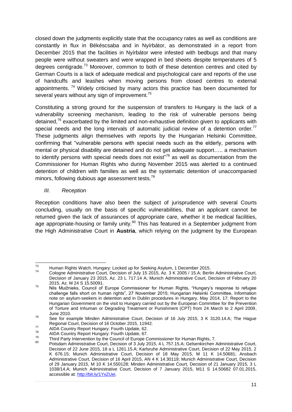closed down the judgments explicitly state that the occupancy rates as well as conditions are constantly in flux in Békéscsaba and in Nyírbátor, as demonstrated in a report from December 2015 that the facilities in Nyírbátor were infested with bedbugs and that many people were without sweaters and were wrapped in bed sheets despite temperatures of 5 degrees centigrade.<sup>73</sup> Moreover, common to both of these detention centres and cited by German Courts is a lack of adequate medical and psychological care and reports of the use of handcuffs and leashes when moving persons from closed centres to external appointments.<sup>74</sup> Widely criticised by many actors this practice has been documented for several years without any sign of improvement. $^{75}$ 

Constituting a strong ground for the suspension of transfers to Hungary is the lack of a vulnerability screening mechanism, leading to the risk of vulnerable persons being detained,<sup>76</sup> exacerbated by the limited and non-exhaustive definition given to applicants with special needs and the long intervals of automatic judicial review of a detention order.<sup>77</sup> These judgments align themselves with reports by the Hungarian Helsinki Committee, confirming that "vulnerable persons with special needs such as the elderly, persons with mental or physical disability are detained and do not get adequate support….. a mechanism to identify persons with special needs does not exist"<sup>78</sup> as well as documentation from the Commissioner for Human Rights who during November 2015 was alerted to a continued detention of children with families as well as the systematic detention of unaccompanied minors, following dubious age assessment tests.<sup>79</sup>

*III. Reception*

Reception conditions have also been the subject of jurisprudence with several Courts concluding, usually on the basis of specific vulnerabilities, that an applicant cannot be returned given the lack of assurances of appropriate care, whether it be medical facilities, age appropriate-housing or family unity.<sup>80</sup> This has featured in a September judgment from the High Administrative Court in **Austria**, which relying on the judgment by the European

 $73$ <sup>73</sup> Human Rights Watch, Hungary: Locked up for Seeking Asylum, 1 December 2015.

Cologne Administrative Court, Decision of July 15 2015, Az. 3 K 2005 / 15.A; Berlin Administrative Court, Decision of January 23 2015, Az. 23 L 717.14 A; Munich Administrative Court, Decision of February 20 2015, Az. M 24 S 15.50091.

<sup>75</sup> Nils Muižnieks, Council of Europe Commissioner for Human Rights, "Hungary's response to refugee challenge falls short on human rights", 27 November 2015; Hungarian Helsinki Committee, Information note on asylum-seekers in detention and in Dublin procedures in Hungary, May 2014, 17; Report to the Hungarian Government on the visit to Hungary carried out by the European Committee for the Prevention of Torture and Inhuman or Degrading Treatment or Punishment (CPT) from 24 March to 2 April 2009, June 2010.

<sup>&</sup>lt;sup>76</sup> See for example Minden Administrative Court, Decision of 16 July 2015, 3 K 3120.14.A; The Hague Regional Court, Decision of 16 October 2015, 11942.

<sup>&</sup>lt;sup>77</sup> AIDA Country Report Hungary: Fourth Update, 62.

 $^{78}$  AIDA Country Report Hungary: Fourth Update, 67.

<sup>&</sup>lt;sup>79</sup> Third Party Intervention by the Council of Europe Commissioner for Human Rights, 7.

Potsdam Administrative Court, Decision of 3 July 2015, 4 L 757.15.A; Gelsenkirchen Administrative Court, Decision of 22 June 2015, 18 a L 1261.15.A; Karlsruhe Administrative Court, Decision of 22 May 2015, 2 K 676.15; Munich Administrative Court, Decision of 18 May 2015, M 11 K 14.50681; Ansbach Administrative Court, Decision of 16 April 2015, AN 4 K 14.30119; Munich Administrative Court, Decision of 29 January 2015, M 10 K 14.550128; Minden Administrative Court, Decision of 21 January 2015, 3 L 1038/14.A; Munich Administrative Court, Decision of 7 January 2015, M11 S 14.50682 07.01.2015, accessible at: [http://bit.ly/1YxZUei.](http://bit.ly/1YxZUei)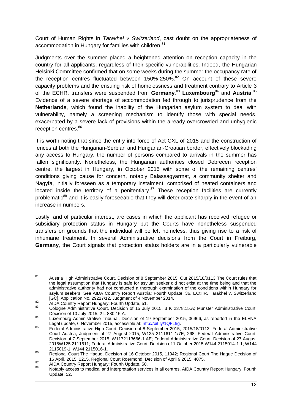Court of Human Rights in *Tarakhel v Switzerland*, cast doubt on the appropriateness of accommodation in Hungary for families with children.<sup>81</sup>

Judgments over the summer placed a heightened attention on reception capacity in the country for all applicants, regardless of their specific vulnerabilities. Indeed, the Hungarian Helsinki Committee confirmed that on some weeks during the summer the occupancy rate of the reception centres fluctuated between  $150\%$ -250%.<sup>82</sup> On account of these severe capacity problems and the ensuing risk of homelessness and treatment contrary to Article 3 of the ECHR, transfers were suspended from Germany,<sup>83</sup> Luxembourg<sup>84</sup> and Austria.<sup>85</sup> Evidence of a severe shortage of accommodation fed through to jurisprudence from the **Netherlands**, which found the inability of the Hungarian asylum system to deal with vulnerability, namely a screening mechanism to identify those with special needs, exacerbated by a severe lack of provisions within the already overcrowded and unhygienic reception centres.<sup>86</sup>

It is worth noting that since the entry into force of Act CXL of 2015 and the construction of fences at both the Hungarian-Serbian and Hungarian-Croatian border, effectively blockading any access to Hungary, the number of persons compared to arrivals in the summer has fallen significantly. Nonetheless, the Hungarian authorities closed Debrecen reception centre, the largest in Hungary, in October 2015 with some of the remaining centres' conditions giving cause for concern, notably Balassagyarmat, a community shelter and Nagyfa, initially foreseen as a temporary instalment, comprised of heated containers and located inside the territory of a penitentiary. $87$  These reception facilities are currently problematic<sup>88</sup> and it is easily foreseeable that they will deteriorate sharply in the event of an increase in numbers.

Lastly, and of particular interest, are cases in which the applicant has received refugee or subsidiary protection status in Hungary but the Courts have nonetheless suspended transfers on grounds that the individual will be left homeless, thus giving rise to a risk of inhumane treatment. In several Administrative decisions from the Court in Freiburg, **Germany**, the Court signals that protection status holders are in a particularly vulnerable

 $81$ <sup>81</sup> Austria High Administrative Court, Decision of 8 September 2015, Out 2015/18/0113 The Court rules that the legal assumption that Hungary is safe for asylum seeker did not exist at the time being and that the administrative authority had not conducted a thorough examination of the conditions within Hungary for asylum seekers. See AIDA Country Report Austria: Fourth Update, 36. ECtHR, Tarakhel v. Switzerland [GC], Application No. 29217/12, Judgment of 4 November 2014.

<sup>82</sup> AIDA Country Report Hungary: Fourth Update, 51.

Cologne Administrative Court, Decision of 15 July 2015, 3 K 2378.15.A; Münster Administrative Court, Decision of 10 July 2015, 2 L 880.15.A.

<sup>&</sup>lt;sup>84</sup> Luxemburg Administrative Tribunal, Decision of 19 September 2015, 36966, as reported in the ELENA Legal update, 6 November 2015, accessible at: [http://bit.ly/1QFLfig.](http://bit.ly/1QFLfig)

<sup>&</sup>lt;sup>85</sup> Federal Administrative High Court, Decision of 8 September 2015, 2015/18/0113; Federal Administrative Court Austria, Judgment of 27 August 2015, W125 2111611-1/7E; 268. Federal Administrative Court, Decision of 7 September 2015, W1172113666-1.AE; Federal Administrative Court, Decision of 27 August 2015W125 2111611; Federal Administrative Court, Decision of 1 October 2015 W144 2115014-1 1; W144 2115019-1; W144 2115016-1.

<sup>86</sup> Regional Court The Hague, Decision of 16 October 2015, 11942; Regional Court The Hague Decision of 16 April, 2015, 2215, Regional Court Roermond, Decision of April 9 2015, 4075.

<sup>87</sup> AIDA Country Report Hungary: Fourth Update, 50.

Notably access to medical and interpretation services in all centres, AIDA Country Report Hungary: Fourth Update, 52.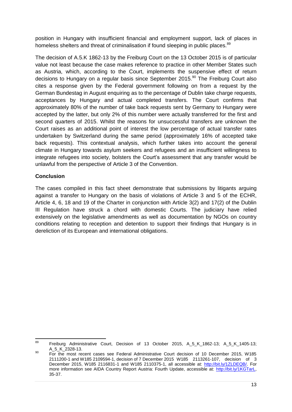position in Hungary with insufficient financial and employment support, lack of places in homeless shelters and threat of criminalisation if found sleeping in public places.<sup>89</sup>

The decision of A.5.K 1862-13 by the Freiburg Court on the 13 October 2015 is of particular value not least because the case makes reference to practice in other Member States such as Austria, which, according to the Court, implements the suspensive effect of return decisions to Hungary on a regular basis since September 2015.<sup>90</sup> The Freiburg Court also cites a response given by the Federal government following on from a request by the German Bundestag in August enquiring as to the percentage of Dublin take charge requests, acceptances by Hungary and actual completed transfers. The Court confirms that approximately 80% of the number of take back requests sent by Germany to Hungary were accepted by the latter, but only 2% of this number were actually transferred for the first and second quarters of 2015. Whilst the reasons for unsuccessful transfers are unknown the Court raises as an additional point of interest the low percentage of actual transfer rates undertaken by Switzerland during the same period (approximately 16% of accepted take back requests). This contextual analysis, which further takes into account the general climate in Hungary towards asylum seekers and refugees and an insufficient willingness to integrate refugees into society, bolsters the Court's assessment that any transfer would be unlawful from the perspective of Article 3 of the Convention.

## **Conclusion**

The cases compiled in this fact sheet demonstrate that submissions by litigants arguing against a transfer to Hungary on the basis of violations of Article 3 and 5 of the ECHR, Article 4, 6, 18 and 19 of the Charter in conjunction with Article 3(2) and 17(2) of the Dublin III Regulation have struck a chord with domestic Courts. The judiciary have relied extensively on the legislative amendments as well as documentation by NGOs on country conditions relating to reception and detention to support their findings that Hungary is in dereliction of its European and international obligations.

<sup>89</sup> <sup>89</sup> Freiburg Administrative Court, Decision of 13 October 2015, A\_5\_K\_1862-13; A\_5\_K\_1405-13; A\_5\_K\_2328-13.

<sup>90</sup> For the most recent cases see Federal Administrative Court decision of 10 December 2015, W185 2111200-1 and W185 2109594-1, decision of 7 December 2015 W185 2113261-107, decision of 3 December 2015, W185 2116831-1 and W185 2110375-1, all accessible at: [http://bit.ly/1ZLDEQB/.](http://bit.ly/1ZLDEQB/) For more information see AIDA Country Report Austria: Fourth Update, accessible at: [http://bit.ly/1KGTarL,](http://bit.ly/1KGTarL) 35-37.